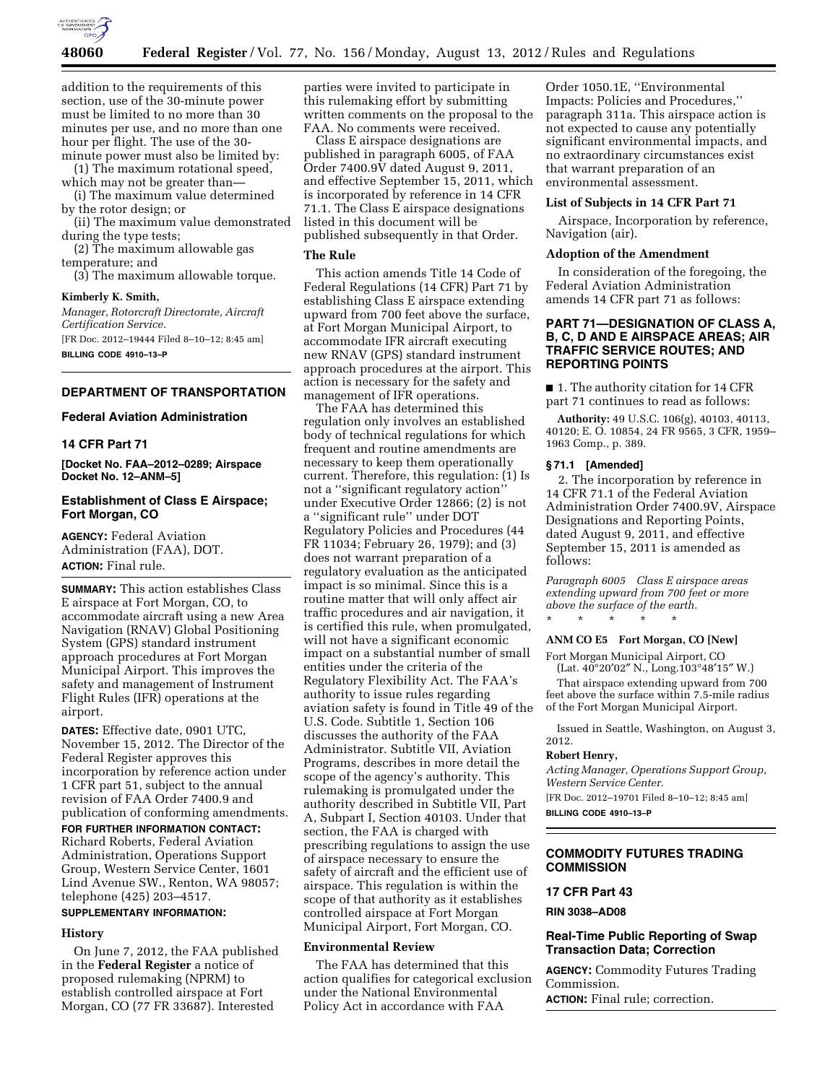

addition to the requirements of this section, use of the 30-minute power must be limited to no more than 30 minutes per use, and no more than one hour per flight. The use of the 30 minute power must also be limited by:

(1) The maximum rotational speed, which may not be greater than—

(i) The maximum value determined by the rotor design; or

(ii) The maximum value demonstrated during the type tests;

(2) The maximum allowable gas temperature; and

(3) The maximum allowable torque.

#### **Kimberly K. Smith,**

*Manager, Rotorcraft Directorate, Aircraft Certification Service.*  [FR Doc. 2012–19444 Filed 8–10–12; 8:45 am] **BILLING CODE 4910–13–P** 

**DEPARTMENT OF TRANSPORTATION** 

#### **Federal Aviation Administration**

## **14 CFR Part 71**

**[Docket No. FAA–2012–0289; Airspace Docket No. 12–ANM–5]** 

# **Establishment of Class E Airspace; Fort Morgan, CO**

**AGENCY:** Federal Aviation Administration (FAA), DOT. **ACTION:** Final rule.

**SUMMARY:** This action establishes Class E airspace at Fort Morgan, CO, to accommodate aircraft using a new Area Navigation (RNAV) Global Positioning System (GPS) standard instrument approach procedures at Fort Morgan Municipal Airport. This improves the safety and management of Instrument Flight Rules (IFR) operations at the airport.

**DATES:** Effective date, 0901 UTC, November 15, 2012. The Director of the Federal Register approves this incorporation by reference action under 1 CFR part 51, subject to the annual revision of FAA Order 7400.9 and publication of conforming amendments.

**FOR FURTHER INFORMATION CONTACT:**  Richard Roberts, Federal Aviation Administration, Operations Support Group, Western Service Center, 1601 Lind Avenue SW., Renton, WA 98057; telephone (425) 203–4517.

# **SUPPLEMENTARY INFORMATION:**

## **History**

On June 7, 2012, the FAA published in the **Federal Register** a notice of proposed rulemaking (NPRM) to establish controlled airspace at Fort Morgan, CO (77 FR 33687). Interested

parties were invited to participate in this rulemaking effort by submitting written comments on the proposal to the FAA. No comments were received.

Class E airspace designations are published in paragraph 6005, of FAA Order 7400.9V dated August 9, 2011, and effective September 15, 2011, which is incorporated by reference in 14 CFR 71.1. The Class E airspace designations listed in this document will be published subsequently in that Order.

## **The Rule**

This action amends Title 14 Code of Federal Regulations (14 CFR) Part 71 by establishing Class E airspace extending upward from 700 feet above the surface, at Fort Morgan Municipal Airport, to accommodate IFR aircraft executing new RNAV (GPS) standard instrument approach procedures at the airport. This action is necessary for the safety and management of IFR operations.

The FAA has determined this regulation only involves an established body of technical regulations for which frequent and routine amendments are necessary to keep them operationally current. Therefore, this regulation: (1) Is not a ''significant regulatory action'' under Executive Order 12866; (2) is not a ''significant rule'' under DOT Regulatory Policies and Procedures (44 FR 11034; February 26, 1979); and (3) does not warrant preparation of a regulatory evaluation as the anticipated impact is so minimal. Since this is a routine matter that will only affect air traffic procedures and air navigation, it is certified this rule, when promulgated, will not have a significant economic impact on a substantial number of small entities under the criteria of the Regulatory Flexibility Act. The FAA's authority to issue rules regarding aviation safety is found in Title 49 of the U.S. Code. Subtitle 1, Section 106 discusses the authority of the FAA Administrator. Subtitle VII, Aviation Programs, describes in more detail the scope of the agency's authority. This rulemaking is promulgated under the authority described in Subtitle VII, Part A, Subpart I, Section 40103. Under that section, the FAA is charged with prescribing regulations to assign the use of airspace necessary to ensure the safety of aircraft and the efficient use of airspace. This regulation is within the scope of that authority as it establishes controlled airspace at Fort Morgan Municipal Airport, Fort Morgan, CO.

## **Environmental Review**

The FAA has determined that this action qualifies for categorical exclusion under the National Environmental Policy Act in accordance with FAA

Order 1050.1E, ''Environmental Impacts: Policies and Procedures,'' paragraph 311a. This airspace action is not expected to cause any potentially significant environmental impacts, and no extraordinary circumstances exist that warrant preparation of an environmental assessment.

#### **List of Subjects in 14 CFR Part 71**

Airspace, Incorporation by reference, Navigation (air).

### **Adoption of the Amendment**

In consideration of the foregoing, the Federal Aviation Administration amends 14 CFR part 71 as follows:

# **PART 71—DESIGNATION OF CLASS A, B, C, D AND E AIRSPACE AREAS; AIR TRAFFIC SERVICE ROUTES; AND REPORTING POINTS**

■ 1. The authority citation for 14 CFR part 71 continues to read as follows:

**Authority:** 49 U.S.C. 106(g), 40103, 40113, 40120; E. O. 10854, 24 FR 9565, 3 CFR, 1959– 1963 Comp., p. 389.

### **§ 71.1 [Amended]**

2. The incorporation by reference in 14 CFR 71.1 of the Federal Aviation Administration Order 7400.9V, Airspace Designations and Reporting Points, dated August 9, 2011, and effective September 15, 2011 is amended as follows:

*Paragraph 6005 Class E airspace areas extending upward from 700 feet or more above the surface of the earth.*  \* \* \* \* \*

## **ANM CO E5 Fort Morgan, CO [New]**

Fort Morgan Municipal Airport, CO (Lat. 40°20′02″ N., Long.103°48′15″ W.)

That airspace extending upward from 700 feet above the surface within 7.5-mile radius of the Fort Morgan Municipal Airport.

Issued in Seattle, Washington, on August 3, 2012.

#### **Robert Henry,**

*Acting Manager, Operations Support Group, Western Service Center.* 

[FR Doc. 2012–19701 Filed 8–10–12; 8:45 am] **BILLING CODE 4910–13–P** 

## **COMMODITY FUTURES TRADING COMMISSION**

### **17 CFR Part 43**

# **RIN 3038–AD08**

## **Real-Time Public Reporting of Swap Transaction Data; Correction**

**AGENCY:** Commodity Futures Trading Commission. **ACTION:** Final rule; correction.